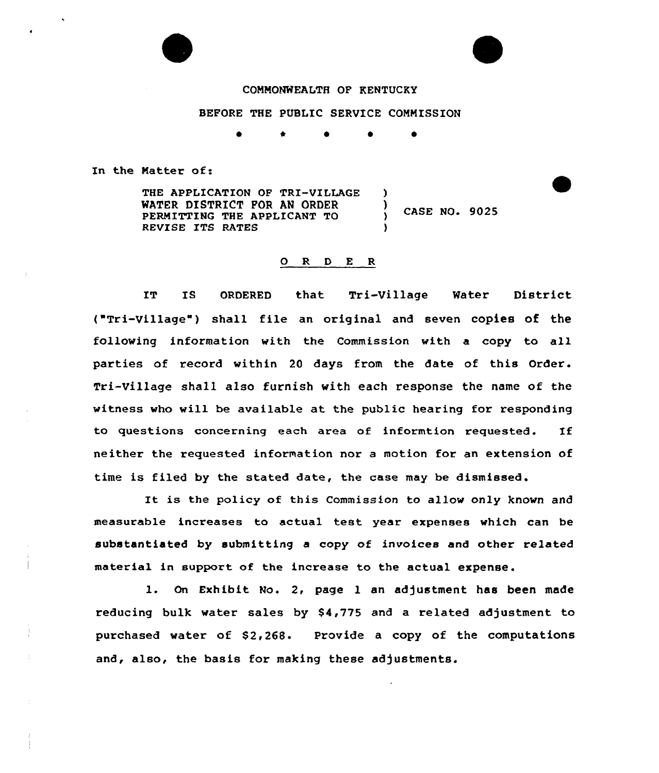## COMMONWEALTH OF KENTUCKY

## BEFORE THE PUBLIC SERVICE COMMISSION

\*

In the Matter of:

THE APPLICATION OF TRI-VILLAGE WATER DISTRICT FOR AN ORDER PERMITTING THE APPLICANT TO REVISE ITS RATES )  $,$  CASE NO. 9025

## O R D E R

IT IS ORDERED that Tri-Village Water District ("Tri-Village" ) shall file an original and seven copies of the following information with the Commission with a copy to all parties of record within 20 days from the date of this Order. Tri-Village shall also furnish with each response the name of the witness who will be available at the public hearing for responding to questions concerning each area of informtion requested. If neither the requested information nor a motion for an extension of time is filed by the stated date, the case may be dismissed.

It is the policy of this Commission to allow only known and measurable increases to actual test year expenses which can be substantiated by submitting a copy of invoices and other related material in support of the increase to the actual expense.

l. On Exhibit. No. 2, page l an adjustment has been made reducing bulk water sales by \$4,775 and a related adjustment to purchased water of \$2,268. Provide a copy of the computations and, also, the basis for making these adjustments.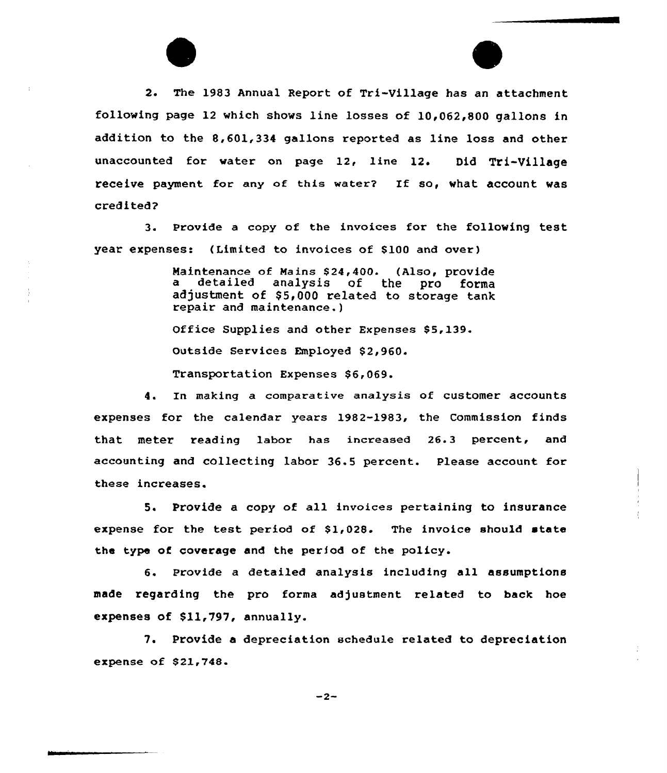2. The 1983 Annual Report of Tri-Village has an attachment following page 12 which shows line losses of 10,062,800 gallons in addition to the 8,601,334 gallons reported as line loss and other unaccounted for water on page 12, line 12. Did Tri-Village receive payment for any of this water? If so, what account was credited?

3. Provide a copy of the invoices for the following test year expenses: (Limited to invoices of 8100 and over)

> Maintenance of Mains \$24,400. (Also, provide<br>a detailed analysis of the pro forma detailed analysis of the pro adjustment of \$5,000 related to storage tank repair and maintenance.)

Office Supplies and other Expenses \$5,139.

outside Services Employed 82,960.

Transportation Expenses \$6,069.

4. In making a comparative analysis of customer accounts expenses for the calendar years 1982-1983, the Commission finds that meter reading labor has increased 26.3 percent, and accounting and collecting labor 36.5 percent. Please account for these increases.

5. Provide a copy of all invoices pertaining to insurance expense for the test period of  $$1,028$ . The invoice should state the type of coverage and the period of the policy.

6. Provide <sup>a</sup> detailed analysis including all assumptions made regarding the pro forma adjustment related to back hoe expenses of Sll,797, annually.

7. Provide a depreciation schedule related to depreciation expense of 821,748.

 $-2-$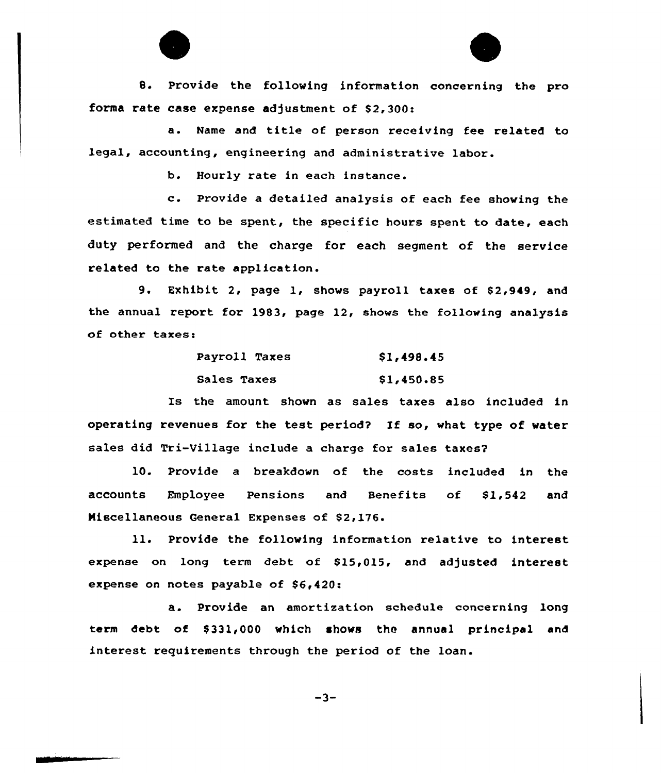8. Provide the following information concerning the pro forma rate case expense adjustment of  $$2,300$ :

a. Name and title of person receiving fee related to legal, accounting, engineering and administrative labor.

b. Hourly rate in each instance.

c. Provide <sup>a</sup> detailed analysis of each fee showing the estimated time to be spent, the specific hours spent to date, each duty performed and the charge for each segment of the service related to the rate application.

9. Exhibit 2, page 1, shows payroll taxes of \$2,949, and the annual report for 1983, page 12, shows the following analysis of other taxes:

| Payroll Taxes | \$1,498.45 |
|---------------|------------|
| Sales Taxes   | \$1,450.85 |

Is the amount shown as sales taxes also included in operating revenues for the test period? If so, what type of water sales did Tri-Village include a charge for sales taxes?

10. Provide a breakdown of the costs included in the ac<mark>counts Employ</mark>ee Pensions and Benefits of \$1,542 <mark>a</mark>nd Miscellaneous General Expenses of \$2,176.

ll. Provide the following information relative to interest expense on long term debt of \$15,015, and adjusted interest expense on notes payable of  $$6,420:$ 

a. Provide an amortization schedule concerning 1ong term debt of \$331,000 which shows the annual principal and interest requirements through the period of the loan.

 $-3-$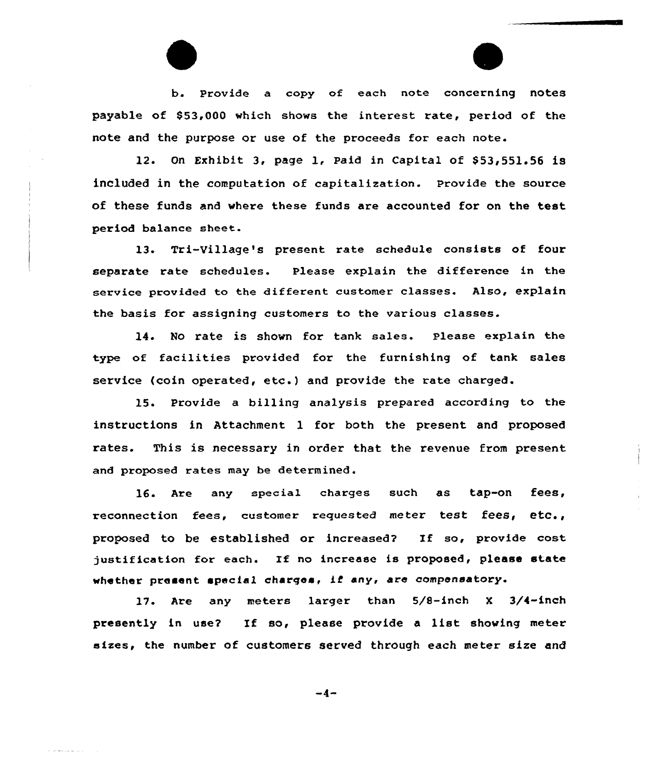b. Provide a copy of each note concerning notes payable of \$53,000 which shows the interest rate, period of the note and the purpose or use of the proceeds for each note.

12. On Exhibit 3, page 1, Paid in Capital of  $$53,551.56$  is included in the computation of capitalization. provide the source of these funds and where these funds are accounted for on the test period balance sheet.

13. Tri-Village's present rate schedule consists of four separate rate schedules. Please explain the difference in the service provided to the different customer classes. Also, explain the basis for assigning customers to the various classes etc'h

14. No rate is shown for tank sales. Please explain the type of facilities provided for the furnishing of tank sales service (coin operated, etc.) and provide the rate charged

15. Provide a billing analysis prepared according to the instructions in Attachment 1 for both the present and proposed rates. This is necessary in order that the revenue from present and proposed rates may be determined.

16. Are any special charges such as tap-on fees, reconnection fees, customer requested meter test fees, etc., proposed to be established or increased? If so, provide cost justification for each. If no increase is proposed, please state whether present special charges, if any, are compensatory.

17. Are any meters larger than 5/8-inch <sup>X</sup> 3/4-inch presently in use? If so, please provide <sup>a</sup> list showing meter sizes, the number of customers served through each meter size and

 $-4-$